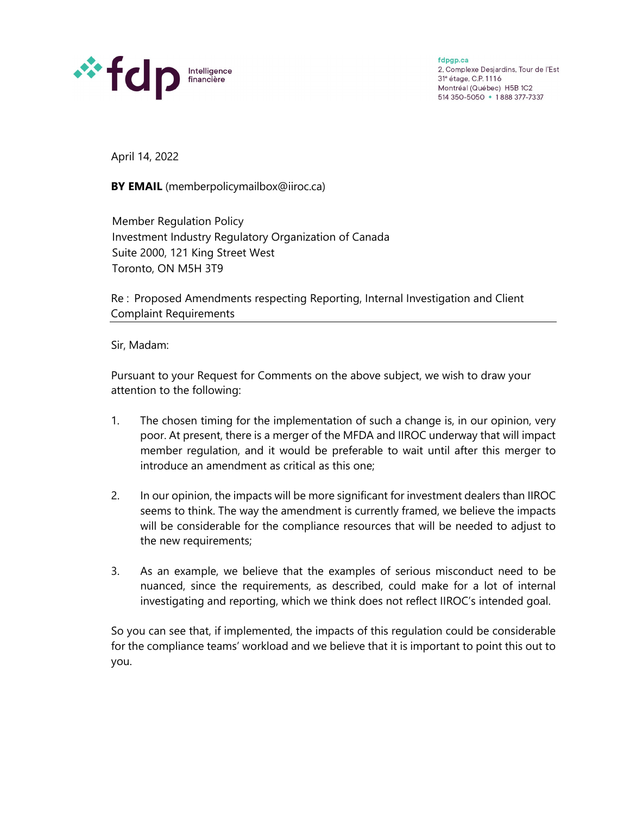

fdpgp.ca 2, Complexe Desjardins, Tour de l'Est 31<sup>e</sup> étage, C.P. 1116 Montréal (Québec) H5B 1C2 514 350-5050 • 1888 377-7337

April 14, 2022

**BY EMAIL** (memberpolicymailbox@iiroc.ca)

Member Regulation Policy Investment Industry Regulatory Organization of Canada Suite 2000, 121 King Street West Toronto, ON M5H 3T9

Re : Proposed Amendments respecting Reporting, Internal Investigation and Client Complaint Requirements

Sir, Madam:

Pursuant to your Request for Comments on the above subject, we wish to draw your attention to the following:

- 1. The chosen timing for the implementation of such a change is, in our opinion, very poor. At present, there is a merger of the MFDA and IIROC underway that will impact member regulation, and it would be preferable to wait until after this merger to introduce an amendment as critical as this one;
- 2. In our opinion, the impacts will be more significant for investment dealers than IIROC seems to think. The way the amendment is currently framed, we believe the impacts will be considerable for the compliance resources that will be needed to adjust to the new requirements;
- 3. As an example, we believe that the examples of serious misconduct need to be nuanced, since the requirements, as described, could make for a lot of internal investigating and reporting, which we think does not reflect IIROC's intended goal.

So you can see that, if implemented, the impacts of this regulation could be considerable for the compliance teams' workload and we believe that it is important to point this out to you.